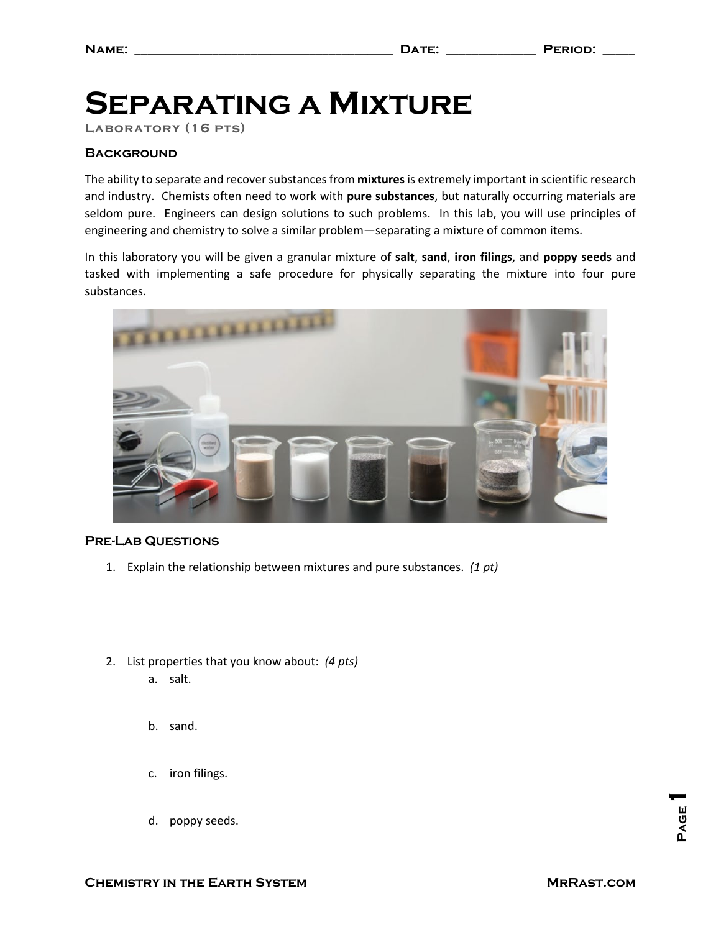# **Separating a Mixture**

**Laboratory (16 pts)**

### **Background**

The ability to separate and recover substances from **mixtures** is extremely important in scientific research and industry. Chemists often need to work with **pure substances**, but naturally occurring materials are seldom pure. Engineers can design solutions to such problems. In this lab, you will use principles of engineering and chemistry to solve a similar problem—separating a mixture of common items.

In this laboratory you will be given a granular mixture of **salt**, **sand**, **iron filings**, and **poppy seeds** and tasked with implementing a safe procedure for physically separating the mixture into four pure substances.



#### **Pre-Lab Questions**

- 1. Explain the relationship between mixtures and pure substances. *(1 pt)*
- 2. List properties that you know about: *(4 pts)*
	- a. salt.
	- b. sand.
	- c. iron filings.
	- d. poppy seeds.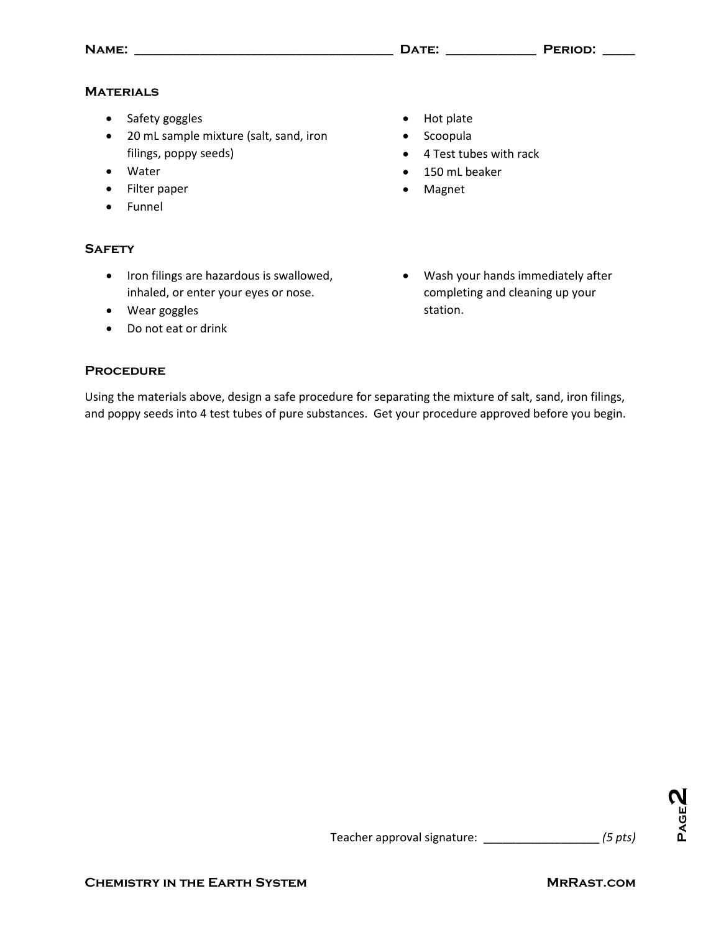### **Materials**

- Safety goggles
- 20 mL sample mixture (salt, sand, iron filings, poppy seeds)
- Water
- Filter paper
- Funnel

### **Safety**

- Iron filings are hazardous is swallowed, inhaled, or enter your eyes or nose.
- Wear goggles
- Do not eat or drink
- Hot plate • Scoopula
- 
- 4 Test tubes with rack
- 150 mL beaker
- Magnet
- Wash your hands immediately after completing and cleaning up your station.

#### **Procedure**

Using the materials above, design a safe procedure for separating the mixture of salt, sand, iron filings, and poppy seeds into 4 test tubes of pure substances. Get your procedure approved before you begin.

**Page** <u>ष</u>